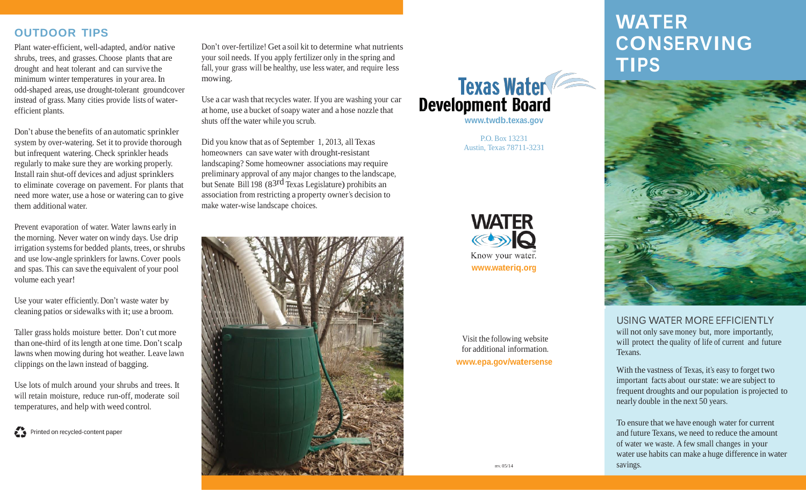## **OUTDOOR TIPS**

Plant water-efficient, well-adapted, and/or native shrubs, trees, and grasses. Choose plants that are drought and heat tolerant and can survive the minimum winter temperatures in your area. In odd-shaped areas, use drought-tolerant groundcover instead of grass. Many cities provide lists of waterefficient plants.

Don't abuse the benefits of an automatic sprinkler system by over-watering. Set it to provide thorough but infrequent watering. Check sprinkler heads regularly to make sure they are working properly. Install rain shut-off devices and adjust sprinklers to eliminate coverage on pavement. For plants that need more water, use a hose or watering can to give them additional water.

Prevent evaporation of water. Water lawns early in the morning. Never water on windy days. Use drip irrigation systems for bedded plants, trees, or shrubs and use low-angle sprinklers for lawns. Cover pools and spas. This can save the equivalent of your pool volume each year!

Use your water efficiently. Don't waste water by cleaning patios orsidewalks with it; use a broom.

Taller grass holds moisture better. Don't cut more than one-third of itslength at one time. Don't scalp lawns when mowing during hot weather. Leave lawn clippings on the lawn instead of bagging.

Use lots of mulch around your shrubs and trees. It will retain moisture, reduce run-off, moderate soil temperatures, and help with weed control.

Printed on recycled-content paper

Don't over-fertilize! Get a soil kit to determine what nutrients your soil needs. If you apply fertilizer only in the spring and fall, your grass will be healthy, use less water, and require less mowing.

Use a car wash that recycles water. If you are washing your car at home, use a bucket of soapy water and a hose nozzle that shuts off the water while you scrub.

Did you know that as of September 1, 2013, all Texas homeowners can save water with drought-resistant landscaping? Some homeowner associations may require preliminary approval of any major changes to the landscape, but Senate Bill <sup>198</sup> (83rd Texas Legislature) prohibits an association from restricting a property owner's decision to make water-wise landscape choices.





**[www.twdb.texas.gov](http://www.twdb.texas.gov/)**

P.O. Box 13231 Austin, Texas 78711-3231



Visit the following website for additional information. **[www.epa.gov/watersense](http://www.epa.gov/watersense)**

# **WATER CONSERVING TIPS**



USING WATER MORE EFFICIENTLY will not only save money but, more importantly, will protect the quality of life of current and future Texans.

With the vastness of Texas, it's easy to forget two important facts about ourstate: we are subject to frequent droughts and our population is projected to nearly double in the next 50 years.

To ensure that we have enough water for current and future Texans, we need to reduce the amount of water we waste. A few small changes in your water use habits can make a huge difference in water savings.